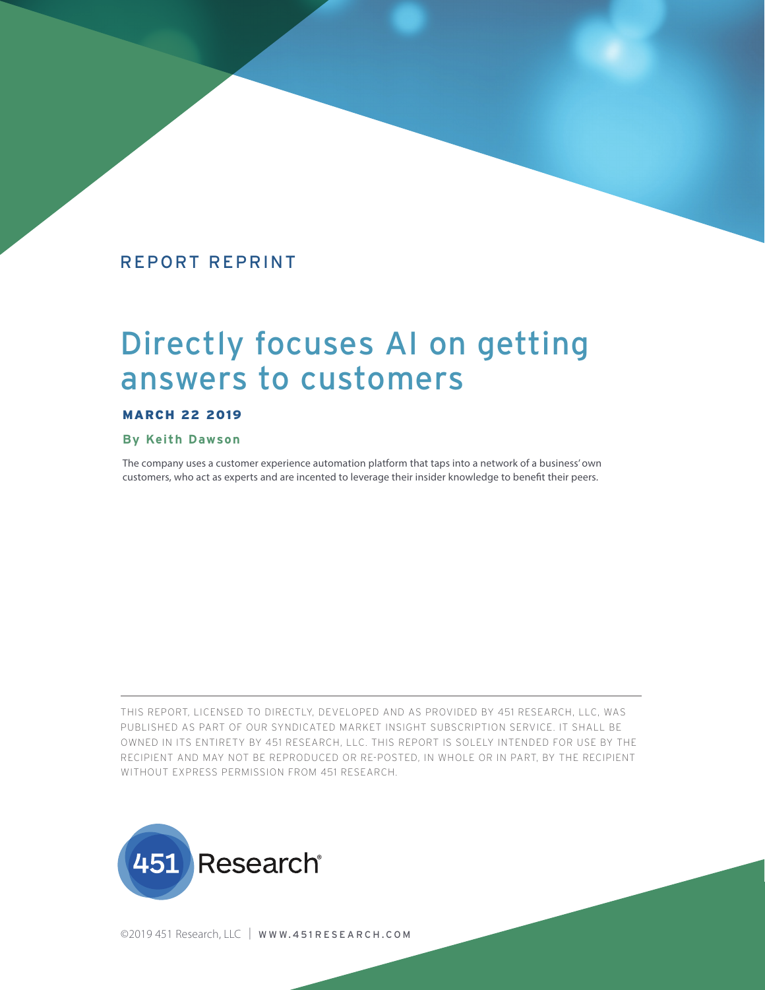# REPORT REPRINT

# Directly focuses AI on getting answers to customers

#### MARCH 22 2019

#### **By Keith Dawson**

The company uses a customer experience automation platform that taps into a network of a business' own customers, who act as experts and are incented to leverage their insider knowledge to benefit their peers.

THIS REPORT, LICENSED TO DIRECTLY, DEVELOPED AND AS PROVIDED BY 451 RESEARCH, LLC, WAS PUBLISHED AS PART OF OUR SYNDICATED MARKET INSIGHT SUBSCRIPTION SERVICE. IT SHALL BE OWNED IN ITS ENTIRETY BY 451 RESEARCH, LLC. THIS REPORT IS SOLELY INTENDED FOR USE BY THE RECIPIENT AND MAY NOT BE REPRODUCED OR RE-POSTED, IN WHOLE OR IN PART, BY THE RECIPIENT WITHOUT EXPRESS PERMISSION FROM 451 RESEARCH.



©2019 451 Research, LLC | WWW.451 RESEARCH.COM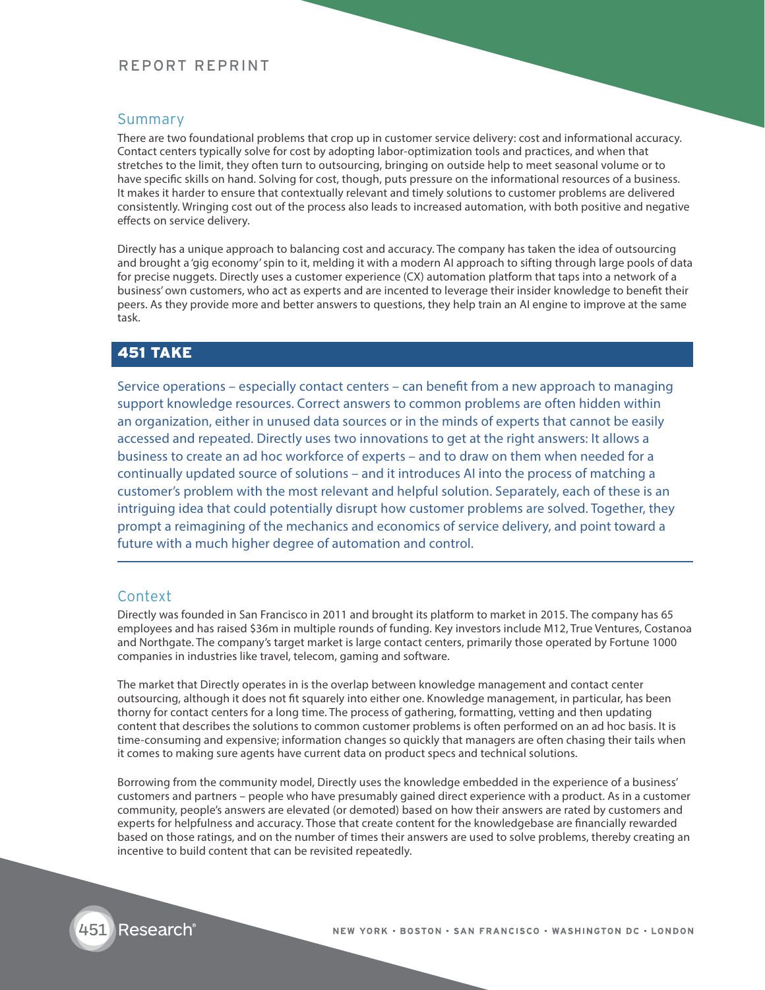## REPORT REPRINT

#### Summary

There are two foundational problems that crop up in customer service delivery: cost and informational accuracy. Contact centers typically solve for cost by adopting labor-optimization tools and practices, and when that stretches to the limit, they often turn to outsourcing, bringing on outside help to meet seasonal volume or to have specific skills on hand. Solving for cost, though, puts pressure on the informational resources of a business. It makes it harder to ensure that contextually relevant and timely solutions to customer problems are delivered consistently. Wringing cost out of the process also leads to increased automation, with both positive and negative effects on service delivery.

Directly has a unique approach to balancing cost and accuracy. The company has taken the idea of outsourcing and brought a 'gig economy' spin to it, melding it with a modern AI approach to sifting through large pools of data for precise nuggets. Directly uses a customer experience (CX) automation platform that taps into a network of a business' own customers, who act as experts and are incented to leverage their insider knowledge to benefit their peers. As they provide more and better answers to questions, they help train an AI engine to improve at the same task.

## 451 TAKE

Service operations – especially contact centers – can benefit from a new approach to managing support knowledge resources. Correct answers to common problems are often hidden within an organization, either in unused data sources or in the minds of experts that cannot be easily accessed and repeated. Directly uses two innovations to get at the right answers: It allows a business to create an ad hoc workforce of experts – and to draw on them when needed for a continually updated source of solutions – and it introduces AI into the process of matching a customer's problem with the most relevant and helpful solution. Separately, each of these is an intriguing idea that could potentially disrupt how customer problems are solved. Together, they prompt a reimagining of the mechanics and economics of service delivery, and point toward a future with a much higher degree of automation and control.

#### Context

Directly was founded in San Francisco in 2011 and brought its platform to market in 2015. The company has 65 employees and has raised \$36m in multiple rounds of funding. Key investors include M12, True Ventures, Costanoa and Northgate. The company's target market is large contact centers, primarily those operated by Fortune 1000 companies in industries like travel, telecom, gaming and software.

The market that Directly operates in is the overlap between knowledge management and contact center outsourcing, although it does not fit squarely into either one. Knowledge management, in particular, has been thorny for contact centers for a long time. The process of gathering, formatting, vetting and then updating content that describes the solutions to common customer problems is often performed on an ad hoc basis. It is time-consuming and expensive; information changes so quickly that managers are often chasing their tails when it comes to making sure agents have current data on product specs and technical solutions.

Borrowing from the community model, Directly uses the knowledge embedded in the experience of a business' customers and partners – people who have presumably gained direct experience with a product. As in a customer community, people's answers are elevated (or demoted) based on how their answers are rated by customers and experts for helpfulness and accuracy. Those that create content for the knowledgebase are financially rewarded based on those ratings, and on the number of times their answers are used to solve problems, thereby creating an incentive to build content that can be revisited repeatedly.

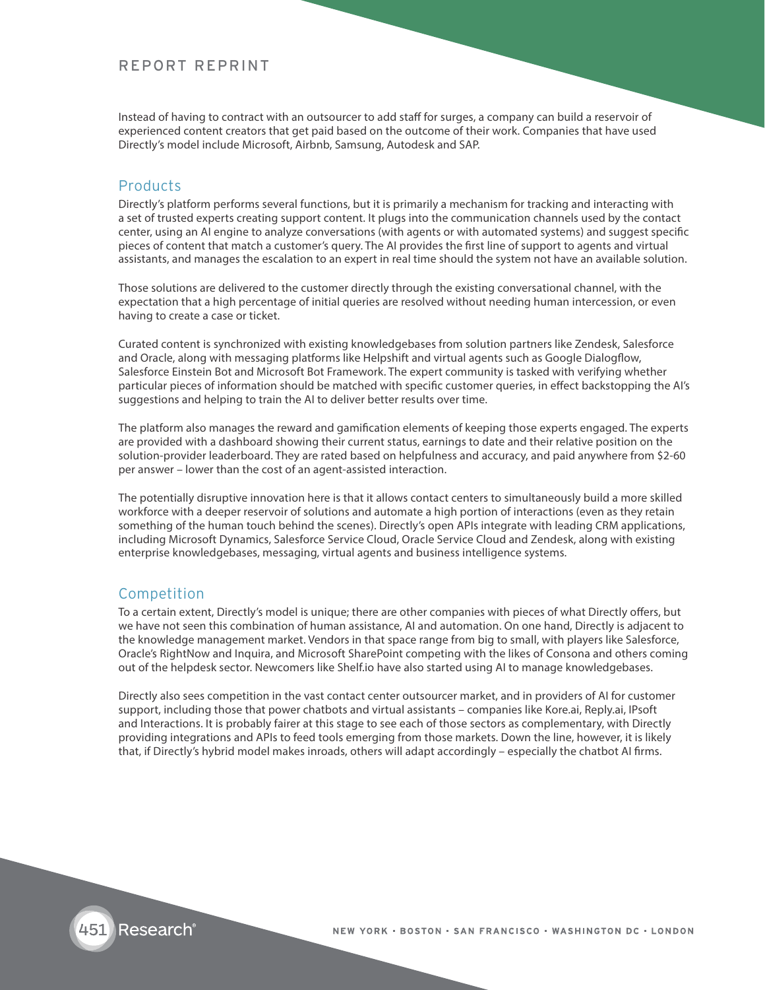#### REPORT REPRINT

Instead of having to contract with an outsourcer to add staff for surges, a company can build a reservoir of experienced content creators that get paid based on the outcome of their work. Companies that have used Directly's model include Microsoft, Airbnb, Samsung, Autodesk and SAP.

#### Products

Directly's platform performs several functions, but it is primarily a mechanism for tracking and interacting with a set of trusted experts creating support content. It plugs into the communication channels used by the contact center, using an AI engine to analyze conversations (with agents or with automated systems) and suggest specific pieces of content that match a customer's query. The AI provides the first line of support to agents and virtual assistants, and manages the escalation to an expert in real time should the system not have an available solution.

Those solutions are delivered to the customer directly through the existing conversational channel, with the expectation that a high percentage of initial queries are resolved without needing human intercession, or even having to create a case or ticket.

Curated content is synchronized with existing knowledgebases from solution partners like Zendesk, Salesforce and Oracle, along with messaging platforms like Helpshift and virtual agents such as Google Dialogflow, Salesforce Einstein Bot and Microsoft Bot Framework. The expert community is tasked with verifying whether particular pieces of information should be matched with specific customer queries, in effect backstopping the AI's suggestions and helping to train the AI to deliver better results over time.

The platform also manages the reward and gamification elements of keeping those experts engaged. The experts are provided with a dashboard showing their current status, earnings to date and their relative position on the solution-provider leaderboard. They are rated based on helpfulness and accuracy, and paid anywhere from \$2-60 per answer – lower than the cost of an agent-assisted interaction.

The potentially disruptive innovation here is that it allows contact centers to simultaneously build a more skilled workforce with a deeper reservoir of solutions and automate a high portion of interactions (even as they retain something of the human touch behind the scenes). Directly's open APIs integrate with leading CRM applications, including Microsoft Dynamics, Salesforce Service Cloud, Oracle Service Cloud and Zendesk, along with existing enterprise knowledgebases, messaging, virtual agents and business intelligence systems.

#### Competition

To a certain extent, Directly's model is unique; there are other companies with pieces of what Directly offers, but we have not seen this combination of human assistance, AI and automation. On one hand, Directly is adjacent to the knowledge management market. Vendors in that space range from big to small, with players like Salesforce, Oracle's RightNow and Inquira, and Microsoft SharePoint competing with the likes of Consona and others coming out of the helpdesk sector. Newcomers like Shelf.io have also started using AI to manage knowledgebases.

Directly also sees competition in the vast contact center outsourcer market, and in providers of AI for customer support, including those that power chatbots and virtual assistants – companies like Kore.ai, Reply.ai, IPsoft and Interactions. It is probably fairer at this stage to see each of those sectors as complementary, with Directly providing integrations and APIs to feed tools emerging from those markets. Down the line, however, it is likely that, if Directly's hybrid model makes inroads, others will adapt accordingly – especially the chatbot AI firms.